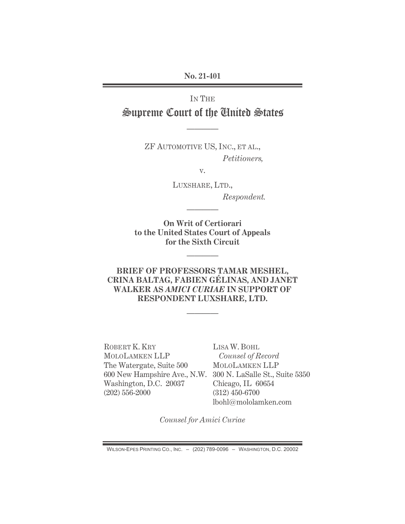**No. 21-401** 

# IN THE Supreme Court of the United States

————

ZF AUTOMOTIVE US, INC., ET AL.,  *Petitioners,* 

v.

LUXSHARE, LTD.,

 *Respondent.* 

**On Writ of Certiorari to the United States Court of Appeals for the Sixth Circuit** 

————

————

## **BRIEF OF PROFESSORS TAMAR MESHEL, CRINA BALTAG, FABIEN GÉLINAS, AND JANET WALKER AS** *AMICI CURIAE* **IN SUPPORT OF RESPONDENT LUXSHARE, LTD.**

————

ROBERT K. KRY MOLOLAMKEN LLP The Watergate, Suite 500 Washington, D.C. 20037 (202) 556-2000

600 New Hampshire Ave., N.W. 300 N. LaSalle St., Suite 5350 LISA W. BOHL *Counsel of Record*  MOLOLAMKEN LLP Chicago, IL 60654 (312) 450-6700 lbohl@mololamken.com

*Counsel for Amici Curiae*

WILSON-EPES PRINTING CO., INC. – (202) 789-0096 – WASHINGTON, D.C. 20002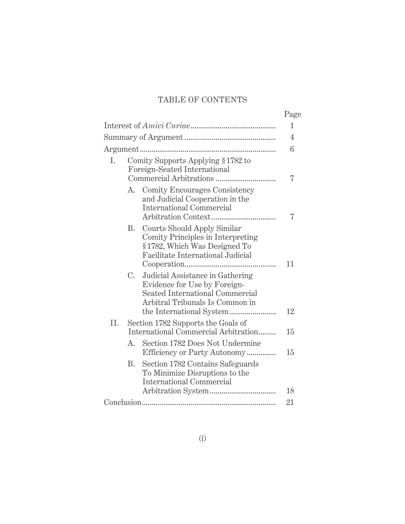# TABLE OF CONTENTS

|     |                                                                    |                                                                                                                                                        | Page |
|-----|--------------------------------------------------------------------|--------------------------------------------------------------------------------------------------------------------------------------------------------|------|
|     |                                                                    |                                                                                                                                                        | 1    |
|     |                                                                    |                                                                                                                                                        | 4    |
|     |                                                                    |                                                                                                                                                        | 6    |
| I.  | Comity Supports Applying § 1782 to<br>Foreign-Seated International |                                                                                                                                                        | 7    |
|     | A.                                                                 | Comity Encourages Consistency<br>and Judicial Cooperation in the<br><b>International Commercial</b>                                                    | 7    |
|     |                                                                    | <b>B.</b> Courts Should Apply Similar<br>Comity Principles in Interpreting<br>§1782, Which Was Designed To<br><b>Facilitate International Judicial</b> | 11   |
|     | $C_{\cdot}$                                                        | Judicial Assistance in Gathering<br>Evidence for Use by Foreign-<br>Seated International Commercial<br>Arbitral Tribunals Is Common in                 | 12   |
| II. |                                                                    | Section 1782 Supports the Goals of<br>International Commercial Arbitration                                                                             | 15   |
|     | $A_{-}$                                                            | Section 1782 Does Not Undermine<br>Efficiency or Party Autonomy                                                                                        | 15   |
|     |                                                                    | B. Section 1782 Contains Safeguards<br>To Minimize Disruptions to the<br><b>International Commercial</b>                                               |      |
|     |                                                                    |                                                                                                                                                        | 18   |
|     |                                                                    |                                                                                                                                                        | 21   |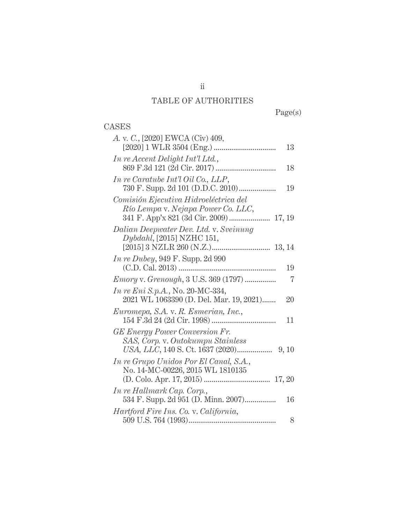# TABLE OF AUTHORITIES

Page(s)

# CASES

| A. v. C., [2020] EWCA (Civ) 409,                                                    | 13 |
|-------------------------------------------------------------------------------------|----|
| In re Accent Delight Int'l Ltd.,                                                    | 18 |
| In re Caratube Int'l Oil Co., LLP,                                                  | 19 |
| Comisión Ejecutiva Hidroeléctrica del<br>Río Lempa v. Nejapa Power Co. LLC,         |    |
| Dalian Deepwater Dev. Ltd. v. Sveinung<br>Dybdahl, [2015] NZHC 151,                 |    |
| <i>In re Dubey</i> , 949 F. Supp. 2d 990                                            | 19 |
| <i>Emory v. Grenough, 3 U.S. 369 (1797)</i>                                         | 7  |
| <i>In re Eni S.p.A.</i> , No. 20-MC-334,<br>2021 WL 1063390 (D. Del. Mar. 19, 2021) | 20 |
| Euromepa, S.A. v. R. Esmerian, Inc.,                                                | 11 |
| <b>GE Energy Power Conversion Fr.</b><br>SAS, Corp. v. Outokumpu Stainless          |    |
| In re Grupo Unidos Por El Canal, S.A.,<br>No. 14-MC-00226, 2015 WL 1810135          |    |
| In re Hallmark Cap. Corp.,<br>534 F. Supp. 2d 951 (D. Minn. 2007)                   | 16 |
| Hartford Fire Ins. Co. v. California,                                               | 8  |

ii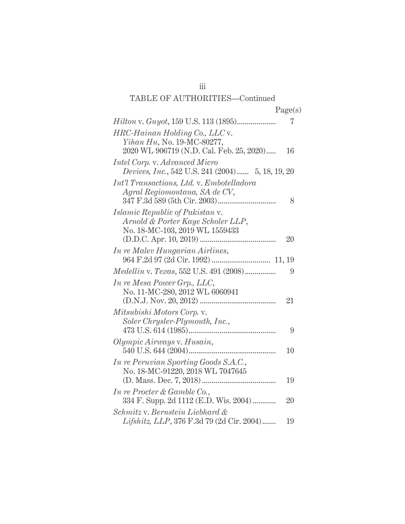| <i>Hilton v. Guyot, 159 U.S. 113 (1895)</i>                   | 7  |
|---------------------------------------------------------------|----|
| HRC-Hainan Holding Co., LLC v.                                |    |
| <i>Yihan Hu</i> , No. 19-MC-80277,                            |    |
| 2020 WL 906719 (N.D. Cal. Feb. 25, 2020)                      | 16 |
| Intel Corp. v. Advanced Micro                                 |    |
| Devices, Inc., 542 U.S. 241 (2004) 5, 18, 19, 20              |    |
| <i>Int'l Transactions, Ltd. v. Embotelladora</i>              |    |
| Agral Regiomontana, SA de CV,                                 |    |
|                                                               | 8  |
| <i>Islamic Republic of Pakistan v.</i>                        |    |
| Arnold & Porter Kaye Scholer LLP,                             |    |
| No. 18-MC-103, 2019 WL 1559433                                | 20 |
|                                                               |    |
| <i>In re Malev Hungarian Airlines,</i>                        |    |
| Medellin v. Texas, 552 U.S. 491 (2008)                        | 9  |
|                                                               |    |
| In re Mesa Power Grp., LLC,<br>No. 11-MC-280, 2012 WL 6060941 |    |
|                                                               | 21 |
| Mitsubishi Motors Corp. v.                                    |    |
| Soler Chrysler-Plymouth, Inc.,                                |    |
|                                                               | 9  |
| Olympic Airways v. Husain,                                    |    |
| 540 U.S. 644 (2004)                                           | 10 |
| In re Peruvian Sporting Goods S.A.C.,                         |    |
| No. 18-MC-91220, 2018 WL 7047645                              |    |
|                                                               | 19 |
| In re Procter & Gamble Co.,                                   |    |
| 334 F. Supp. 2d 1112 (E.D. Wis. 2004)                         | 20 |
| Schmitz v. Bernstein Liebhard &                               |    |
| Lifshitz, LLP, 376 F.3d 79 (2d Cir. 2004)                     | 19 |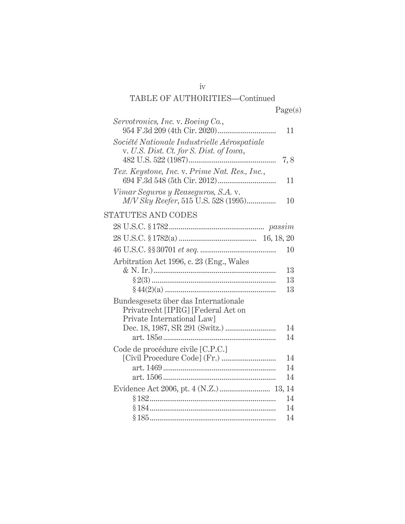| Servotronics, Inc. v. Boeing Co.,                                                                        | 11  |
|----------------------------------------------------------------------------------------------------------|-----|
| Société Nationale Industrielle Aérospatiale<br>v. U.S. Dist. Ct. for S. Dist. of Iowa,                   | 7,8 |
| Tex. Keystone, Inc. v. Prime Nat. Res., Inc.,                                                            | 11  |
| Vimar Seguros y Reaseguros, S.A. v.<br>M/V Sky Reefer, 515 U.S. 528 (1995)                               | 10  |
| <b>STATUTES AND CODES</b>                                                                                |     |
|                                                                                                          |     |
|                                                                                                          |     |
|                                                                                                          | 10  |
| Arbitration Act 1996, c. 23 (Eng., Wales                                                                 |     |
|                                                                                                          | 13  |
|                                                                                                          | 13  |
|                                                                                                          | 13  |
| Bundesgesetz über das Internationale<br>Privatrecht [IPRG] [Federal Act on<br>Private International Law] |     |
|                                                                                                          | 14  |
|                                                                                                          | 14  |
| Code de procédure civile [C.P.C.]                                                                        |     |
|                                                                                                          | 14  |
|                                                                                                          | 14  |
|                                                                                                          | 14  |
| Evidence Act 2006, pt. 4 (N.Z.) 13, 14                                                                   |     |
|                                                                                                          | 14  |
| §184………………………………………………………                                                                                | 14  |
|                                                                                                          | 14  |

iv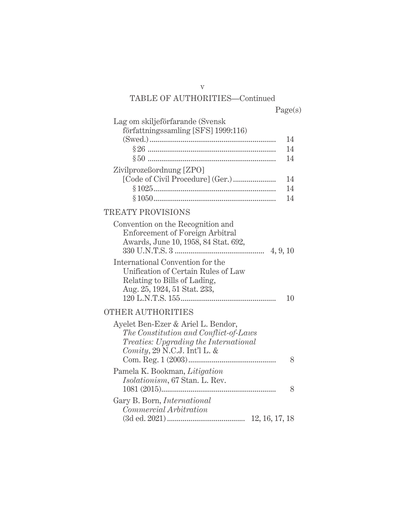| Lag om skiljeförfarande (Svensk                                                                                                                             |          |
|-------------------------------------------------------------------------------------------------------------------------------------------------------------|----------|
| författningssamling [SFS] 1999:116)                                                                                                                         |          |
|                                                                                                                                                             | 14<br>14 |
|                                                                                                                                                             | 14       |
| Zivilprozeßordnung [ZPO]                                                                                                                                    |          |
|                                                                                                                                                             | 14       |
|                                                                                                                                                             | 14       |
|                                                                                                                                                             | 14       |
| <b>TREATY PROVISIONS</b>                                                                                                                                    |          |
| Convention on the Recognition and<br><b>Enforcement of Foreign Arbitral</b><br>Awards, June 10, 1958, 84 Stat. 692,                                         |          |
| International Convention for the<br>Unification of Certain Rules of Law<br>Relating to Bills of Lading,<br>Aug. 25, 1924, 51 Stat. 233,                     | 10       |
| <b>OTHER AUTHORITIES</b>                                                                                                                                    |          |
| Ayelet Ben-Ezer & Ariel L. Bendor,<br>The Constitution and Conflict-of-Laws<br><i>Treaties: Upgrading the International</i><br>Comity, 29 N.C.J. Int'l L. & |          |
|                                                                                                                                                             | 8        |
| Pamela K. Bookman, Litigation<br><i>Isolationism</i> , 67 Stan. L. Rev.                                                                                     |          |
|                                                                                                                                                             | 8        |
| Gary B. Born, <i>International</i>                                                                                                                          |          |
| Commercial Arbitration                                                                                                                                      |          |

(3d ed. 2021) ........................................ 12, 16, 17, 18

v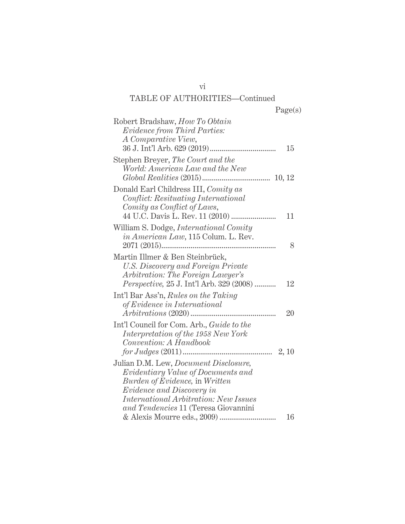| Robert Bradshaw, How To Obtain<br><i>Evidence from Third Parties:</i><br>A Comparative View,                                                                     | 15 |
|------------------------------------------------------------------------------------------------------------------------------------------------------------------|----|
| Stephen Breyer, The Court and the<br>World: American Law and the New                                                                                             |    |
| Donald Earl Childress III, Comity as<br>Conflict: Resituating International<br>Comity as Conflict of Laws,<br>44 U.C. Davis L. Rev. 11 (2010)                    | 11 |
| William S. Dodge, <i>International Comity</i><br><i>in American Law</i> , 115 Colum. L. Rev.                                                                     | 8  |
| Martin Illmer & Ben Steinbrück,<br>U.S. Discovery and Foreign Private<br>Arbitration: The Foreign Lawyer's<br><i>Perspective, 25 J. Int'l Arb. 329 (2008) </i>   | 12 |
| Int'l Bar Ass'n, Rules on the Taking<br>of Evidence in International                                                                                             | 20 |
| Int'l Council for Com. Arb., Guide to the<br>Interpretation of the 1958 New York<br>Convention: A Handbook                                                       |    |
| Julian D.M. Lew, <i>Document Disclosure</i> ,<br><i>Evidentiary Value of Documents and</i><br>Burden of Evidence, in Written<br><i>Evidence and Discovery in</i> |    |
| <i>International Arbitration: New Issues</i><br>and Tendencies 11 (Teresa Giovannini                                                                             | 16 |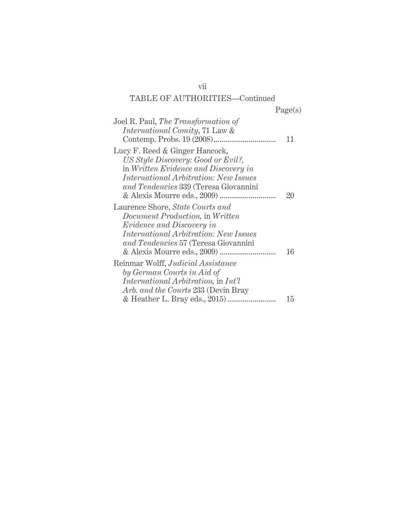| Joel R. Paul, The Transformation of<br><i>International Comity</i> , 71 Law &                                                                                                                                                  | 11 |
|--------------------------------------------------------------------------------------------------------------------------------------------------------------------------------------------------------------------------------|----|
| Lucy F. Reed & Ginger Hancock,<br>US Style Discovery: Good or Evil?,<br>in Written Evidence and Discovery in<br><i>International Arbitration: New Issues</i><br>and Tendencies 339 (Teresa Giovannini                          | 20 |
| Laurence Shore, State Courts and<br>Document Production, in Written<br><i>Evidence and Discovery in</i><br><i>International Arbitration: New Issues</i><br>and Tendencies 57 (Teresa Giovannini<br>& Alexis Mourre eds., 2009) | 16 |
| Reinmar Wolff, Judicial Assistance<br>by German Courts in Aid of<br><i>International Arbitration, in Int'l</i><br>Arb. and the Courts 233 (Devin Bray                                                                          |    |
|                                                                                                                                                                                                                                | 15 |

vii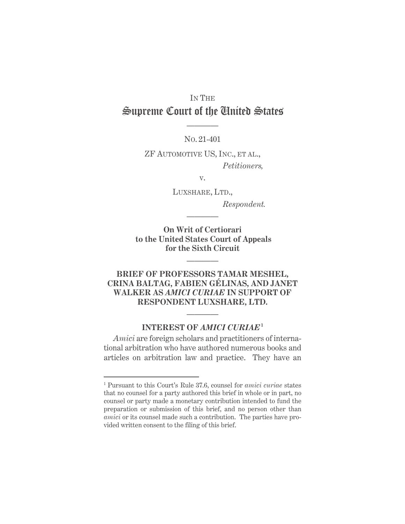# IN THE Supreme Court of the United States

NO. 21-401

————

ZF AUTOMOTIVE US, INC., ET AL., *Petitioners,* 

v.

LUXSHARE, LTD.,  *Respondent.* 

**On Writ of Certiorari to the United States Court of Appeals for the Sixth Circuit** 

————

————

## **BRIEF OF PROFESSORS TAMAR MESHEL, CRINA BALTAG, FABIEN GÉLINAS, AND JANET WALKER AS** *AMICI CURIAE* **IN SUPPORT OF RESPONDENT LUXSHARE, LTD.**

### **INTEREST OF** *AMICI CURIAE***<sup>1</sup>**

————

*Amici* are foreign scholars and practitioners of international arbitration who have authored numerous books and articles on arbitration law and practice. They have an

<sup>1</sup> Pursuant to this Court's Rule 37.6, counsel for *amici curiae* states that no counsel for a party authored this brief in whole or in part, no counsel or party made a monetary contribution intended to fund the preparation or submission of this brief, and no person other than *amici* or its counsel made such a contribution. The parties have provided written consent to the filing of this brief.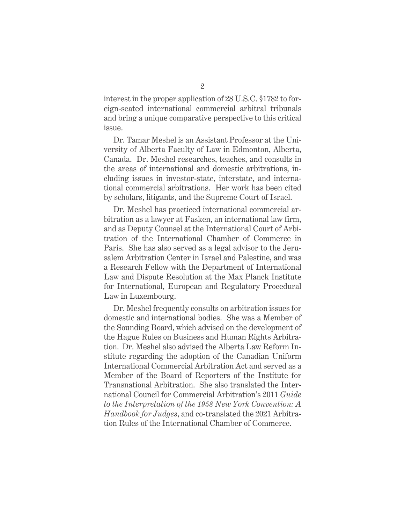interest in the proper application of 28 U.S.C. §1782 to foreign-seated international commercial arbitral tribunals and bring a unique comparative perspective to this critical issue.

Dr. Tamar Meshel is an Assistant Professor at the University of Alberta Faculty of Law in Edmonton, Alberta, Canada. Dr. Meshel researches, teaches, and consults in the areas of international and domestic arbitrations, including issues in investor-state, interstate, and international commercial arbitrations. Her work has been cited by scholars, litigants, and the Supreme Court of Israel.

Dr. Meshel has practiced international commercial arbitration as a lawyer at Fasken, an international law firm, and as Deputy Counsel at the International Court of Arbitration of the International Chamber of Commerce in Paris. She has also served as a legal advisor to the Jerusalem Arbitration Center in Israel and Palestine, and was a Research Fellow with the Department of International Law and Dispute Resolution at the Max Planck Institute for International, European and Regulatory Procedural Law in Luxembourg.

Dr. Meshel frequently consults on arbitration issues for domestic and international bodies. She was a Member of the Sounding Board, which advised on the development of the Hague Rules on Business and Human Rights Arbitration. Dr. Meshel also advised the Alberta Law Reform Institute regarding the adoption of the Canadian Uniform International Commercial Arbitration Act and served as a Member of the Board of Reporters of the Institute for Transnational Arbitration. She also translated the International Council for Commercial Arbitration's 2011 *Guide to the Interpretation of the 1958 New York Convention: A Handbook for Judges*, and co-translated the 2021 Arbitration Rules of the International Chamber of Commerce.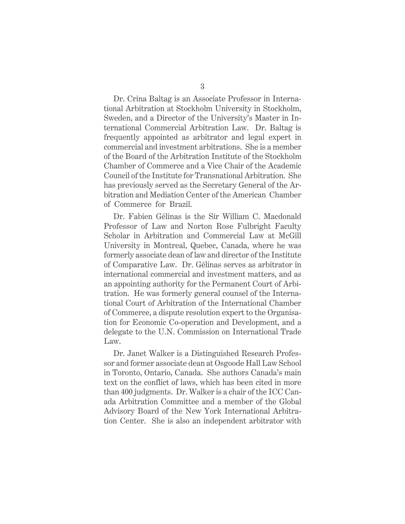Dr. Crina Baltag is an Associate Professor in International Arbitration at Stockholm University in Stockholm, Sweden, and a Director of the University's Master in International Commercial Arbitration Law. Dr. Baltag is frequently appointed as arbitrator and legal expert in commercial and investment arbitrations. She is a member of the Board of the Arbitration Institute of the Stockholm Chamber of Commerce and a Vice Chair of the Academic Council of the Institute for Transnational Arbitration. She has previously served as the Secretary General of the Arbitration and Mediation Center of the American Chamber of Commerce for Brazil.

Dr. Fabien Gélinas is the Sir William C. Macdonald Professor of Law and Norton Rose Fulbright Faculty Scholar in Arbitration and Commercial Law at McGill University in Montreal, Quebec, Canada, where he was formerly associate dean of law and director of the Institute of Comparative Law. Dr. Gélinas serves as arbitrator in international commercial and investment matters, and as an appointing authority for the Permanent Court of Arbitration. He was formerly general counsel of the International Court of Arbitration of the International Chamber of Commerce, a dispute resolution expert to the Organisation for Economic Co-operation and Development, and a delegate to the U.N. Commission on International Trade Law.

Dr. Janet Walker is a Distinguished Research Professor and former associate dean at Osgoode Hall Law School in Toronto, Ontario, Canada. She authors Canada's main text on the conflict of laws, which has been cited in more than 400 judgments. Dr. Walker is a chair of the ICC Canada Arbitration Committee and a member of the Global Advisory Board of the New York International Arbitration Center. She is also an independent arbitrator with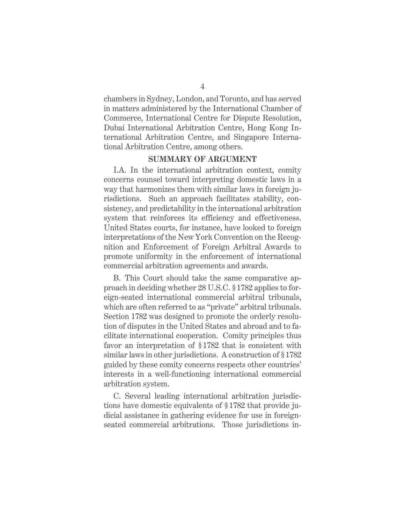chambers in Sydney, London, and Toronto, and has served in matters administered by the International Chamber of Commerce, International Centre for Dispute Resolution, Dubai International Arbitration Centre, Hong Kong International Arbitration Centre, and Singapore International Arbitration Centre, among others.

#### **SUMMARY OF ARGUMENT**

I.A. In the international arbitration context, comity concerns counsel toward interpreting domestic laws in a way that harmonizes them with similar laws in foreign jurisdictions. Such an approach facilitates stability, consistency, and predictability in the international arbitration system that reinforces its efficiency and effectiveness. United States courts, for instance, have looked to foreign interpretations of the New York Convention on the Recognition and Enforcement of Foreign Arbitral Awards to promote uniformity in the enforcement of international commercial arbitration agreements and awards.

B. This Court should take the same comparative approach in deciding whether 28 U.S.C. § 1782 applies to foreign-seated international commercial arbitral tribunals, which are often referred to as "private" arbitral tribunals. Section 1782 was designed to promote the orderly resolution of disputes in the United States and abroad and to facilitate international cooperation. Comity principles thus favor an interpretation of §1782 that is consistent with similar laws in other jurisdictions. A construction of § 1782 guided by these comity concerns respects other countries' interests in a well-functioning international commercial arbitration system.

C. Several leading international arbitration jurisdictions have domestic equivalents of § 1782 that provide judicial assistance in gathering evidence for use in foreignseated commercial arbitrations. Those jurisdictions in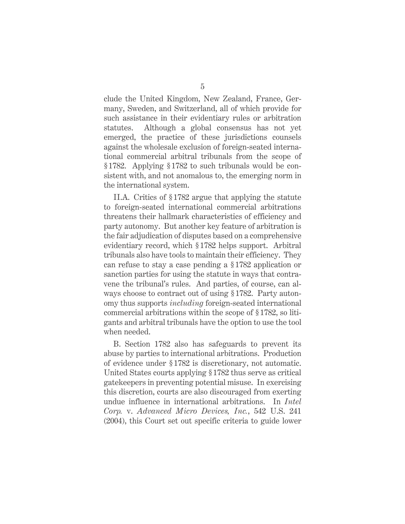clude the United Kingdom, New Zealand, France, Germany, Sweden, and Switzerland, all of which provide for such assistance in their evidentiary rules or arbitration statutes. Although a global consensus has not yet emerged, the practice of these jurisdictions counsels against the wholesale exclusion of foreign-seated international commercial arbitral tribunals from the scope of § 1782. Applying § 1782 to such tribunals would be consistent with, and not anomalous to, the emerging norm in the international system.

II.A. Critics of § 1782 argue that applying the statute to foreign-seated international commercial arbitrations threatens their hallmark characteristics of efficiency and party autonomy. But another key feature of arbitration is the fair adjudication of disputes based on a comprehensive evidentiary record, which § 1782 helps support. Arbitral tribunals also have tools to maintain their efficiency. They can refuse to stay a case pending a § 1782 application or sanction parties for using the statute in ways that contravene the tribunal's rules. And parties, of course, can always choose to contract out of using § 1782. Party autonomy thus supports *including* foreign-seated international commercial arbitrations within the scope of § 1782, so litigants and arbitral tribunals have the option to use the tool when needed.

B. Section 1782 also has safeguards to prevent its abuse by parties to international arbitrations. Production of evidence under § 1782 is discretionary, not automatic. United States courts applying § 1782 thus serve as critical gatekeepers in preventing potential misuse. In exercising this discretion, courts are also discouraged from exerting undue influence in international arbitrations. In *Intel Corp.* v. *Advanced Micro Devices, Inc.*, 542 U.S. 241 (2004), this Court set out specific criteria to guide lower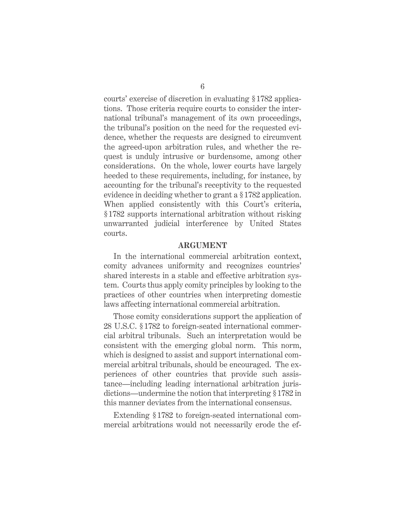courts' exercise of discretion in evaluating § 1782 applications. Those criteria require courts to consider the international tribunal's management of its own proceedings, the tribunal's position on the need for the requested evidence, whether the requests are designed to circumvent the agreed-upon arbitration rules, and whether the request is unduly intrusive or burdensome, among other considerations. On the whole, lower courts have largely heeded to these requirements, including, for instance, by accounting for the tribunal's receptivity to the requested evidence in deciding whether to grant a § 1782 application. When applied consistently with this Court's criteria, § 1782 supports international arbitration without risking unwarranted judicial interference by United States courts.

#### **ARGUMENT**

In the international commercial arbitration context, comity advances uniformity and recognizes countries' shared interests in a stable and effective arbitration system. Courts thus apply comity principles by looking to the practices of other countries when interpreting domestic laws affecting international commercial arbitration.

Those comity considerations support the application of 28 U.S.C. § 1782 to foreign-seated international commercial arbitral tribunals. Such an interpretation would be consistent with the emerging global norm. This norm, which is designed to assist and support international commercial arbitral tribunals, should be encouraged. The experiences of other countries that provide such assistance—including leading international arbitration jurisdictions—undermine the notion that interpreting § 1782 in this manner deviates from the international consensus.

Extending § 1782 to foreign-seated international commercial arbitrations would not necessarily erode the ef-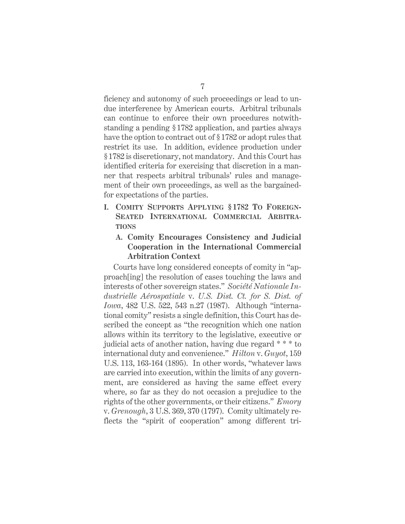ficiency and autonomy of such proceedings or lead to undue interference by American courts. Arbitral tribunals can continue to enforce their own procedures notwithstanding a pending § 1782 application, and parties always have the option to contract out of § 1782 or adopt rules that restrict its use. In addition, evidence production under § 1782 is discretionary, not mandatory. And this Court has identified criteria for exercising that discretion in a manner that respects arbitral tribunals' rules and management of their own proceedings, as well as the bargainedfor expectations of the parties.

**I. COMITY SUPPORTS APPLYING §1782 TO FOREIGN-SEATED INTERNATIONAL COMMERCIAL ARBITRA-TIONS**

## **A. Comity Encourages Consistency and Judicial Cooperation in the International Commercial Arbitration Context**

Courts have long considered concepts of comity in "approach[ing] the resolution of cases touching the laws and interests of other sovereign states." *Société Nationale Industrielle Aérospatiale* v. *U.S. Dist. Ct. for S. Dist. of Iowa*, 482 U.S. 522, 543 n.27 (1987). Although "international comity" resists a single definition, this Court has described the concept as "the recognition which one nation allows within its territory to the legislative, executive or judicial acts of another nation, having due regard \* \* \* to international duty and convenience." *Hilton* v. *Guyot*, 159 U.S. 113, 163-164 (1895). In other words, "whatever laws are carried into execution, within the limits of any government, are considered as having the same effect every where, so far as they do not occasion a prejudice to the rights of the other governments, or their citizens." *Emory*  v. *Grenough*, 3 U.S. 369, 370 (1797). Comity ultimately reflects the "spirit of cooperation" among different tri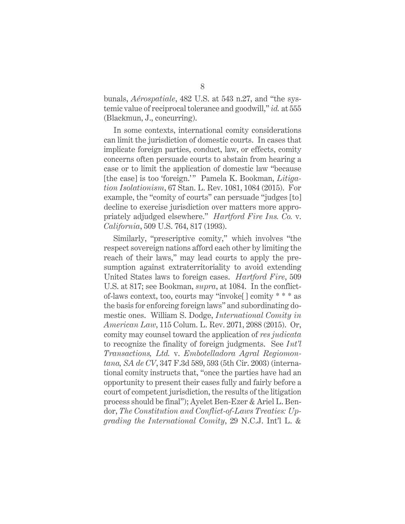bunals, *Aérospatiale*, 482 U.S. at 543 n.27, and "the systemic value of reciprocal tolerance and goodwill," *id.* at 555 (Blackmun, J., concurring).

In some contexts, international comity considerations can limit the jurisdiction of domestic courts. In cases that implicate foreign parties, conduct, law, or effects, comity concerns often persuade courts to abstain from hearing a case or to limit the application of domestic law "because [the case] is too 'foreign.'" Pamela K. Bookman, *Litigation Isolationism*, 67 Stan. L. Rev. 1081, 1084 (2015). For example, the "comity of courts" can persuade "judges [to] decline to exercise jurisdiction over matters more appropriately adjudged elsewhere." *Hartford Fire Ins. Co.* v. *California*, 509 U.S. 764, 817 (1993).

Similarly, "prescriptive comity," which involves "the respect sovereign nations afford each other by limiting the reach of their laws," may lead courts to apply the presumption against extraterritoriality to avoid extending United States laws to foreign cases. *Hartford Fire*, 509 U.S. at 817; see Bookman, *supra*, at 1084. In the conflictof-laws context, too, courts may "invoke[] comity \* \* \* as the basis for enforcing foreign laws" and subordinating domestic ones. William S. Dodge, *International Comity in American Law*, 115 Colum. L. Rev. 2071, 2088 (2015). Or, comity may counsel toward the application of *res judicata*  to recognize the finality of foreign judgments. See *Int'l Transactions, Ltd.* v. *Embotelladora Agral Regiomontana, SA de CV*, 347 F.3d 589, 593 (5th Cir. 2003) (international comity instructs that, "once the parties have had an opportunity to present their cases fully and fairly before a court of competent jurisdiction, the results of the litigation process should be final"); Ayelet Ben-Ezer & Ariel L. Bendor, *The Constitution and Conflict-of-Laws Treaties: Upgrading the International Comity*, 29 N.C.J. Int'l L. &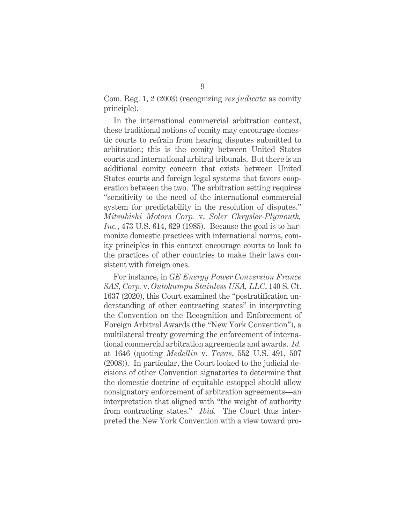Com. Reg. 1, 2 (2003) (recognizing *res judicata* as comity principle).

In the international commercial arbitration context, these traditional notions of comity may encourage domestic courts to refrain from hearing disputes submitted to arbitration; this is the comity between United States courts and international arbitral tribunals. But there is an additional comity concern that exists between United States courts and foreign legal systems that favors cooperation between the two. The arbitration setting requires "sensitivity to the need of the international commercial system for predictability in the resolution of disputes." *Mitsubishi Motors Corp.* v. *Soler Chrysler-Plymouth, Inc.*, 473 U.S. 614, 629 (1985). Because the goal is to harmonize domestic practices with international norms, comity principles in this context encourage courts to look to the practices of other countries to make their laws consistent with foreign ones.

For instance, in *GE Energy Power Conversion France SAS, Corp.* v. *Outokumpu Stainless USA, LLC*, 140 S. Ct. 1637 (2020), this Court examined the "postratification understanding of other contracting states" in interpreting the Convention on the Recognition and Enforcement of Foreign Arbitral Awards (the "New York Convention"), a multilateral treaty governing the enforcement of international commercial arbitration agreements and awards. *Id.* at 1646 (quoting *Medellin* v. *Texas*, 552 U.S. 491, 507 (2008)). In particular, the Court looked to the judicial decisions of other Convention signatories to determine that the domestic doctrine of equitable estoppel should allow nonsignatory enforcement of arbitration agreements—an interpretation that aligned with "the weight of authority from contracting states." *Ibid.* The Court thus interpreted the New York Convention with a view toward pro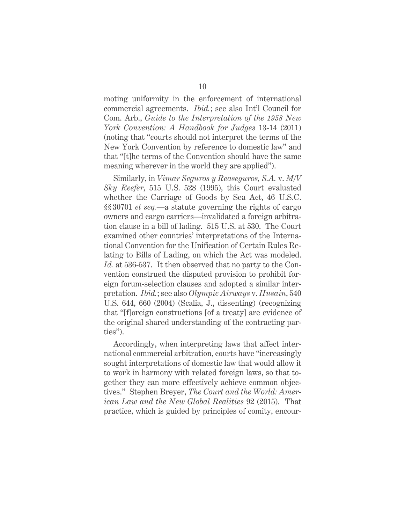moting uniformity in the enforcement of international commercial agreements. *Ibid.*; see also Int'l Council for Com. Arb., *Guide to the Interpretation of the 1958 New York Convention: A Handbook for Judges* 13-14 (2011) (noting that "courts should not interpret the terms of the New York Convention by reference to domestic law" and that "[t]he terms of the Convention should have the same meaning wherever in the world they are applied").

Similarly, in *Vimar Seguros y Reaseguros, S.A.* v. *M/V Sky Reefer*, 515 U.S. 528 (1995), this Court evaluated whether the Carriage of Goods by Sea Act, 46 U.S.C. §§ 30701 *et seq.*—a statute governing the rights of cargo owners and cargo carriers—invalidated a foreign arbitration clause in a bill of lading. 515 U.S. at 530. The Court examined other countries' interpretations of the International Convention for the Unification of Certain Rules Relating to Bills of Lading, on which the Act was modeled. *Id.* at 536-537. It then observed that no party to the Convention construed the disputed provision to prohibit foreign forum-selection clauses and adopted a similar interpretation. *Ibid.*; see also *Olympic Airways* v. *Husain*, 540 U.S. 644, 660 (2004) (Scalia, J., dissenting) (recognizing that "[f]oreign constructions [of a treaty] are evidence of the original shared understanding of the contracting parties").

Accordingly, when interpreting laws that affect international commercial arbitration, courts have "increasingly sought interpretations of domestic law that would allow it to work in harmony with related foreign laws, so that together they can more effectively achieve common objectives." Stephen Breyer, *The Court and the World: American Law and the New Global Realities* 92 (2015). That practice, which is guided by principles of comity, encour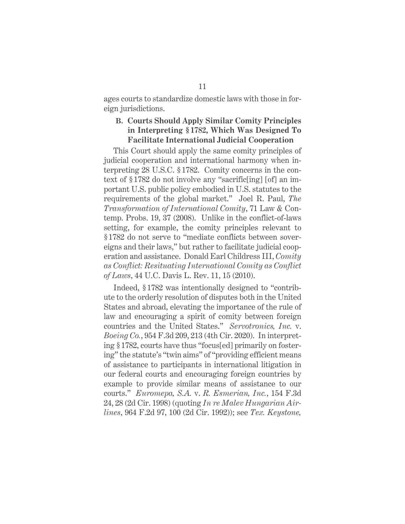ages courts to standardize domestic laws with those in foreign jurisdictions.

## **B. Courts Should Apply Similar Comity Principles in Interpreting § 1782, Which Was Designed To Facilitate International Judicial Cooperation**

This Court should apply the same comity principles of judicial cooperation and international harmony when interpreting 28 U.S.C. § 1782. Comity concerns in the context of §1782 do not involve any "sacrific[ing] [of] an important U.S. public policy embodied in U.S. statutes to the requirements of the global market." Joel R. Paul, *The Transformation of International Comity*, 71 Law & Contemp. Probs. 19, 37 (2008). Unlike in the conflict-of-laws setting, for example, the comity principles relevant to § 1782 do not serve to "mediate conflicts between sovereigns and their laws," but rather to facilitate judicial cooperation and assistance. Donald Earl Childress III, *Comity as Conflict: Resituating International Comity as Conflict of Laws*, 44 U.C. Davis L. Rev. 11, 15 (2010).

Indeed, § 1782 was intentionally designed to "contribute to the orderly resolution of disputes both in the United States and abroad, elevating the importance of the rule of law and encouraging a spirit of comity between foreign countries and the United States." *Servotronics, Inc.* v. *Boeing Co.*, 954 F.3d 209, 213 (4th Cir. 2020). In interpreting § 1782, courts have thus "focus[ed] primarily on fostering" the statute's "twin aims" of "providing efficient means of assistance to participants in international litigation in our federal courts and encouraging foreign countries by example to provide similar means of assistance to our courts." *Euromepa, S.A.* v. *R. Esmerian, Inc.*, 154 F.3d 24, 28 (2d Cir. 1998) (quoting *In re Malev Hungarian Airlines*, 964 F.2d 97, 100 (2d Cir. 1992)); see *Tex. Keystone,*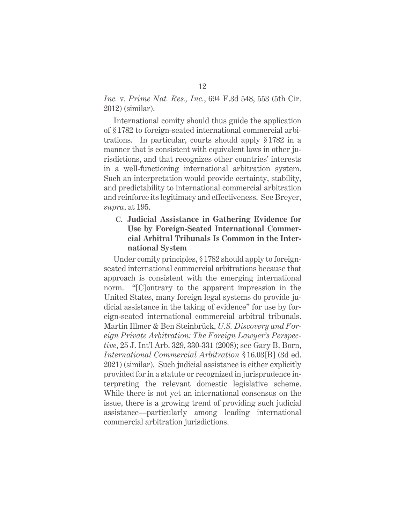### *Inc.* v. *Prime Nat. Res., Inc.*, 694 F.3d 548, 553 (5th Cir. 2012) (similar).

International comity should thus guide the application of § 1782 to foreign-seated international commercial arbitrations. In particular, courts should apply § 1782 in a manner that is consistent with equivalent laws in other jurisdictions, and that recognizes other countries' interests in a well-functioning international arbitration system. Such an interpretation would provide certainty, stability, and predictability to international commercial arbitration and reinforce its legitimacy and effectiveness. See Breyer, *supra*, at 195.

## **C. Judicial Assistance in Gathering Evidence for Use by Foreign-Seated International Commercial Arbitral Tribunals Is Common in the International System**

Under comity principles, §1782 should apply to foreignseated international commercial arbitrations because that approach is consistent with the emerging international norm. "[C]ontrary to the apparent impression in the United States, many foreign legal systems do provide judicial assistance in the taking of evidence" for use by foreign-seated international commercial arbitral tribunals. Martin Illmer & Ben Steinbrück, *U.S. Discovery and Foreign Private Arbitration: The Foreign Lawyer's Perspective*, 25 J. Int'l Arb. 329, 330-331 (2008); see Gary B. Born, *International Commercial Arbitration* §16.03[B] (3d ed. 2021) (similar). Such judicial assistance is either explicitly provided for in a statute or recognized in jurisprudence interpreting the relevant domestic legislative scheme. While there is not yet an international consensus on the issue, there is a growing trend of providing such judicial assistance—particularly among leading international commercial arbitration jurisdictions.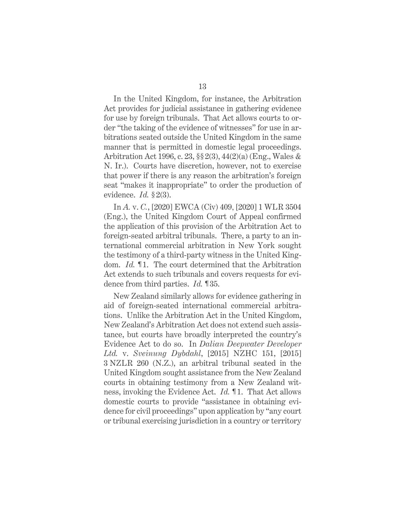In the United Kingdom, for instance, the Arbitration Act provides for judicial assistance in gathering evidence for use by foreign tribunals. That Act allows courts to order "the taking of the evidence of witnesses" for use in arbitrations seated outside the United Kingdom in the same manner that is permitted in domestic legal proceedings. Arbitration Act 1996, c. 23, §§ 2(3), 44(2)(a) (Eng., Wales & N. Ir.). Courts have discretion, however, not to exercise that power if there is any reason the arbitration's foreign seat "makes it inappropriate" to order the production of evidence. *Id.* § 2(3).

In *A.* v. *C.*, [2020] EWCA (Civ) 409, [2020] 1 WLR 3504 (Eng.), the United Kingdom Court of Appeal confirmed the application of this provision of the Arbitration Act to foreign-seated arbitral tribunals. There, a party to an international commercial arbitration in New York sought the testimony of a third-party witness in the United Kingdom. *Id.* ¶ 1. The court determined that the Arbitration Act extends to such tribunals and covers requests for evidence from third parties. *Id.* ¶ 35.

New Zealand similarly allows for evidence gathering in aid of foreign-seated international commercial arbitrations. Unlike the Arbitration Act in the United Kingdom, New Zealand's Arbitration Act does not extend such assistance, but courts have broadly interpreted the country's Evidence Act to do so. In *Dalian Deepwater Developer Ltd.* v. *Sveinung Dybdahl*, [2015] NZHC 151, [2015] 3 NZLR 260 (N.Z.), an arbitral tribunal seated in the United Kingdom sought assistance from the New Zealand courts in obtaining testimony from a New Zealand witness, invoking the Evidence Act. *Id.* ¶ 1. That Act allows domestic courts to provide "assistance in obtaining evidence for civil proceedings" upon application by "any court or tribunal exercising jurisdiction in a country or territory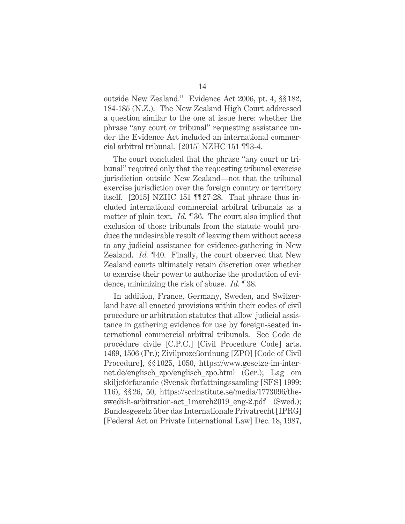outside New Zealand." Evidence Act 2006, pt. 4, §§ 182, 184-185 (N.Z.). The New Zealand High Court addressed a question similar to the one at issue here: whether the phrase "any court or tribunal" requesting assistance under the Evidence Act included an international commercial arbitral tribunal. [2015] NZHC 151 ¶¶ 3-4.

The court concluded that the phrase "any court or tribunal" required only that the requesting tribunal exercise jurisdiction outside New Zealand—not that the tribunal exercise jurisdiction over the foreign country or territory itself. [2015] NZHC 151 ¶¶ 27-28. That phrase thus included international commercial arbitral tribunals as a matter of plain text. *Id.* ¶ 36. The court also implied that exclusion of those tribunals from the statute would produce the undesirable result of leaving them without access to any judicial assistance for evidence-gathering in New Zealand. *Id.* 140. Finally, the court observed that New Zealand courts ultimately retain discretion over whether to exercise their power to authorize the production of evidence, minimizing the risk of abuse. *Id.* ¶ 38.

In addition, France, Germany, Sweden, and Switzerland have all enacted provisions within their codes of civil procedure or arbitration statutes that allow judicial assistance in gathering evidence for use by foreign-seated international commercial arbitral tribunals. See Code de procédure civile [C.P.C.] [Civil Procedure Code] arts. 1469, 1506 (Fr.); Zivilprozeßordnung [ZPO] [Code of Civil Procedure], §§ 1025, 1050, https://www.gesetze-im-internet.de/englisch\_zpo/englisch\_zpo.html (Ger.); Lag om skiljeförfarande (Svensk författningssamling [SFS] 1999: 116), §§ 26, 50, https://sccinstitute.se/media/1773096/theswedish-arbitration-act\_1march2019\_eng-2.pdf (Swed.); Bundesgesetz über das Internationale Privatrecht [IPRG] [Federal Act on Private International Law] Dec. 18, 1987,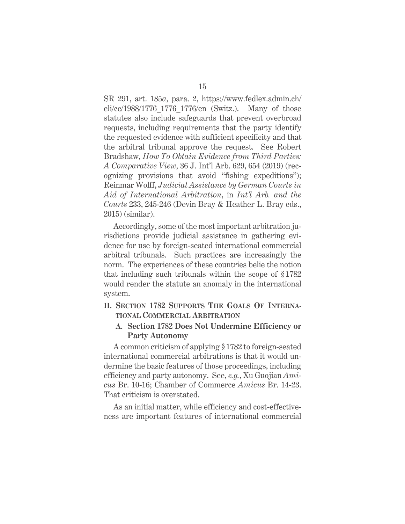SR 291, art. 185*a*, para. 2, https://www.fedlex.admin.ch/ eli/cc/1988/1776\_1776\_1776/en (Switz.). Many of those statutes also include safeguards that prevent overbroad requests, including requirements that the party identify the requested evidence with sufficient specificity and that the arbitral tribunal approve the request. See Robert Bradshaw, *How To Obtain Evidence from Third Parties: A Comparative View*, 36 J. Int'l Arb. 629, 654 (2019) (recognizing provisions that avoid "fishing expeditions"); Reinmar Wolff, *Judicial Assistance by German Courts in Aid of International Arbitration*, in *Int'l Arb. and the Courts* 233, 245-246 (Devin Bray & Heather L. Bray eds., 2015) (similar).

Accordingly, some of the most important arbitration jurisdictions provide judicial assistance in gathering evidence for use by foreign-seated international commercial arbitral tribunals. Such practices are increasingly the norm. The experiences of these countries belie the notion that including such tribunals within the scope of § 1782 would render the statute an anomaly in the international system.

## **II. SECTION 1782 SUPPORTS THE GOALS OF INTERNA-TIONAL COMMERCIAL ARBITRATION**

### **A. Section 1782 Does Not Undermine Efficiency or Party Autonomy**

A common criticism of applying § 1782 to foreign-seated international commercial arbitrations is that it would undermine the basic features of those proceedings, including efficiency and party autonomy. See, *e.g.*, Xu Guojian *Amicus* Br. 10-16; Chamber of Commerce *Amicus* Br. 14-23. That criticism is overstated.

As an initial matter, while efficiency and cost-effectiveness are important features of international commercial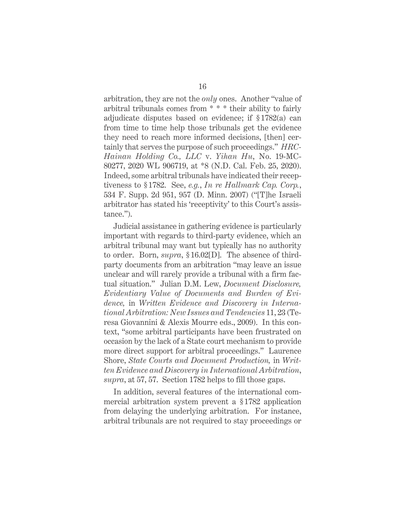arbitration, they are not the *only* ones. Another "value of arbitral tribunals comes from \* \* \* their ability to fairly adjudicate disputes based on evidence; if § 1782(a) can from time to time help those tribunals get the evidence they need to reach more informed decisions, [then] certainly that serves the purpose of such proceedings." *HRC-Hainan Holding Co., LLC* v. *Yihan Hu*, No. 19-MC-80277, 2020 WL 906719, at \*8 (N.D. Cal. Feb. 25, 2020). Indeed, some arbitral tribunals have indicated their receptiveness to § 1782. See, *e.g.*, *In re Hallmark Cap. Corp.*, 534 F. Supp. 2d 951, 957 (D. Minn. 2007) ("[T]he Israeli arbitrator has stated his 'receptivity' to this Court's assistance.").

Judicial assistance in gathering evidence is particularly important with regards to third-party evidence, which an arbitral tribunal may want but typically has no authority to order. Born, *supra*, § 16.02[D]. The absence of thirdparty documents from an arbitration "may leave an issue unclear and will rarely provide a tribunal with a firm factual situation." Julian D.M. Lew, *Document Disclosure, Evidentiary Value of Documents and Burden of Evidence,* in *Written Evidence and Discovery in International Arbitration: New Issues and Tendencies* 11, 23 (Teresa Giovannini & Alexis Mourre eds., 2009). In this context, "some arbitral participants have been frustrated on occasion by the lack of a State court mechanism to provide more direct support for arbitral proceedings." Laurence Shore, *State Courts and Document Production,* in *Written Evidence and Discovery in International Arbitration*, *supra*, at 57, 57. Section 1782 helps to fill those gaps.

In addition, several features of the international commercial arbitration system prevent a § 1782 application from delaying the underlying arbitration. For instance, arbitral tribunals are not required to stay proceedings or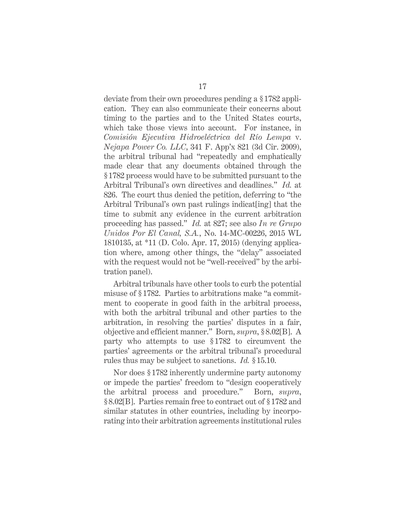deviate from their own procedures pending a § 1782 application. They can also communicate their concerns about timing to the parties and to the United States courts, which take those views into account. For instance, in *Comisión Ejecutiva Hidroeléctrica del Río Lempa* v. *Nejapa Power Co. LLC*, 341 F. App'x 821 (3d Cir. 2009), the arbitral tribunal had "repeatedly and emphatically made clear that any documents obtained through the § 1782 process would have to be submitted pursuant to the Arbitral Tribunal's own directives and deadlines." *Id.* at 826. The court thus denied the petition, deferring to "the Arbitral Tribunal's own past rulings indicat[ing] that the time to submit any evidence in the current arbitration proceeding has passed." *Id.* at 827; see also *In re Grupo Unidos Por El Canal, S.A.*, No. 14-MC-00226, 2015 WL 1810135, at \*11 (D. Colo. Apr. 17, 2015) (denying application where, among other things, the "delay" associated with the request would not be "well-received" by the arbitration panel).

Arbitral tribunals have other tools to curb the potential misuse of § 1782. Parties to arbitrations make "a commitment to cooperate in good faith in the arbitral process, with both the arbitral tribunal and other parties to the arbitration, in resolving the parties' disputes in a fair, objective and efficient manner." Born, *supra*, § 8.02[B]. A party who attempts to use § 1782 to circumvent the parties' agreements or the arbitral tribunal's procedural rules thus may be subject to sanctions. *Id.* § 15.10.

Nor does § 1782 inherently undermine party autonomy or impede the parties' freedom to "design cooperatively the arbitral process and procedure." Born, *supra*, § 8.02[B]. Parties remain free to contract out of § 1782 and similar statutes in other countries, including by incorporating into their arbitration agreements institutional rules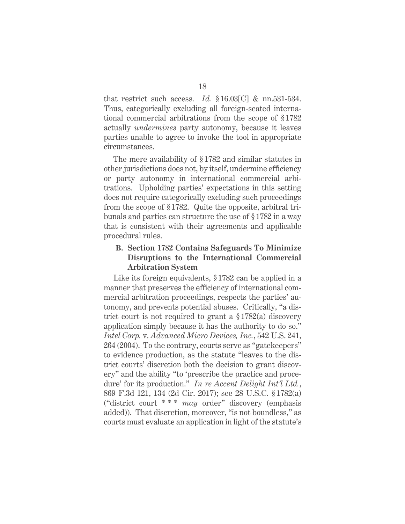that restrict such access. *Id.* § 16.03[C] & nn.531-534. Thus, categorically excluding all foreign-seated international commercial arbitrations from the scope of §1782 actually *undermines* party autonomy, because it leaves parties unable to agree to invoke the tool in appropriate circumstances.

The mere availability of § 1782 and similar statutes in other jurisdictions does not, by itself, undermine efficiency or party autonomy in international commercial arbitrations. Upholding parties' expectations in this setting does not require categorically excluding such proceedings from the scope of § 1782. Quite the opposite, arbitral tribunals and parties can structure the use of § 1782 in a way that is consistent with their agreements and applicable procedural rules.

## **B. Section 1782 Contains Safeguards To Minimize Disruptions to the International Commercial Arbitration System**

Like its foreign equivalents, § 1782 can be applied in a manner that preserves the efficiency of international commercial arbitration proceedings, respects the parties' autonomy, and prevents potential abuses. Critically, "a district court is not required to grant a § 1782(a) discovery application simply because it has the authority to do so." *Intel Corp.* v. *Advanced Micro Devices, Inc.*, 542 U.S. 241, 264 (2004). To the contrary, courts serve as "gatekeepers" to evidence production, as the statute "leaves to the district courts' discretion both the decision to grant discovery" and the ability "to 'prescribe the practice and procedure' for its production." *In re Accent Delight Int'l Ltd.*, 869 F.3d 121, 134 (2d Cir. 2017); see 28 U.S.C. § 1782(a) ("district court \* \* \* *may* order" discovery (emphasis added)). That discretion, moreover, "is not boundless," as courts must evaluate an application in light of the statute's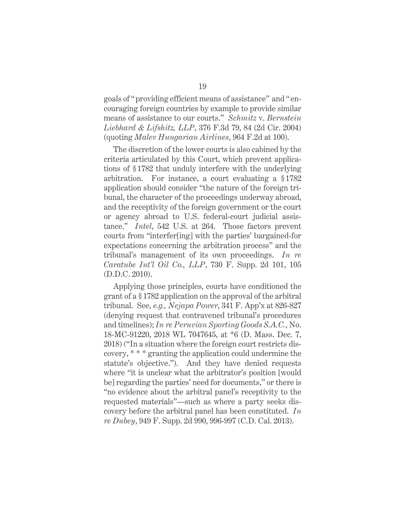goals of " providing efficient means of assistance" and " encouraging foreign countries by example to provide similar means of assistance to our courts." *Schmitz* v. *Bernstein Liebhard & Lifshitz, LLP*, 376 F.3d 79, 84 (2d Cir. 2004) (quoting *Malev Hungarian Airlines*, 964 F.2d at 100).

The discretion of the lower courts is also cabined by the criteria articulated by this Court, which prevent applications of § 1782 that unduly interfere with the underlying arbitration. For instance, a court evaluating a §1782 application should consider "the nature of the foreign tribunal, the character of the proceedings underway abroad, and the receptivity of the foreign government or the court or agency abroad to U.S. federal-court judicial assistance." *Intel*, 542 U.S. at 264. Those factors prevent courts from "interfer[ing] with the parties' bargained-for expectations concerning the arbitration process" and the tribunal's management of its own proceedings. *In re Caratube Int'l Oil Co., LLP*, 730 F. Supp. 2d 101, 105 (D.D.C. 2010).

Applying those principles, courts have conditioned the grant of a § 1782 application on the approval of the arbitral tribunal. See, *e.g., Nejapa Power*, 341 F. App'x at 826-827 (denying request that contravened tribunal's procedures and timelines); *In re Peruvian Sporting Goods S.A.C.*, No. 18-MC-91220, 2018 WL 7047645, at \*6 (D. Mass. Dec. 7, 2018) ("In a situation where the foreign court restricts discovery, \* \* \* granting the application could undermine the statute's objective."). And they have denied requests where "it is unclear what the arbitrator's position [would be] regarding the parties' need for documents," or there is "no evidence about the arbitral panel's receptivity to the requested materials"—such as where a party seeks discovery before the arbitral panel has been constituted. *In re Dubey*, 949 F. Supp. 2d 990, 996-997 (C.D. Cal. 2013).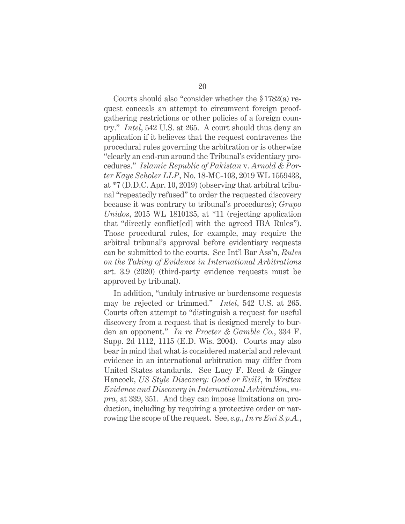Courts should also "consider whether the § 1782(a) request conceals an attempt to circumvent foreign proofgathering restrictions or other policies of a foreign country." *Intel*, 542 U.S. at 265. A court should thus deny an application if it believes that the request contravenes the procedural rules governing the arbitration or is otherwise "clearly an end-run around the Tribunal's evidentiary procedures." *Islamic Republic of Pakistan* v. *Arnold & Porter Kaye Scholer LLP*, No. 18-MC-103, 2019 WL 1559433, at \*7 (D.D.C. Apr. 10, 2019) (observing that arbitral tribunal "repeatedly refused" to order the requested discovery because it was contrary to tribunal's procedures); *Grupo Unidos*, 2015 WL 1810135, at \*11 (rejecting application that "directly conflict[ed] with the agreed IBA Rules"). Those procedural rules, for example, may require the arbitral tribunal's approval before evidentiary requests can be submitted to the courts. See Int'l Bar Ass'n, *Rules on the Taking of Evidence in International Arbitrations* art. 3.9 (2020) (third-party evidence requests must be approved by tribunal).

In addition, "unduly intrusive or burdensome requests may be rejected or trimmed." *Intel*, 542 U.S. at 265. Courts often attempt to "distinguish a request for useful discovery from a request that is designed merely to burden an opponent." *In re Procter & Gamble Co.*, 334 F. Supp. 2d 1112, 1115 (E.D. Wis. 2004). Courts may also bear in mind that what is considered material and relevant evidence in an international arbitration may differ from United States standards. See Lucy F. Reed & Ginger Hancock, *US Style Discovery: Good or Evil?*, in *Written Evidence and Discovery in International Arbitration*, *supra*, at 339, 351. And they can impose limitations on production, including by requiring a protective order or narrowing the scope of the request. See, *e.g.*, *In re Eni S.p.A.*,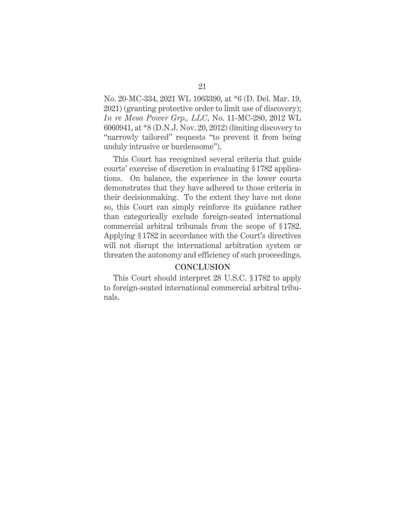No. 20-MC-334, 2021 WL 1063390, at \*6 (D. Del. Mar. 19, 2021) (granting protective order to limit use of discovery); *In re Mesa Power Grp., LLC*, No. 11-MC-280, 2012 WL 6060941, at \*8 (D.N.J. Nov. 20, 2012) (limiting discovery to "narrowly tailored" requests "to prevent it from being unduly intrusive or burdensome").

This Court has recognized several criteria that guide courts' exercise of discretion in evaluating § 1782 applications. On balance, the experience in the lower courts demonstrates that they have adhered to those criteria in their decisionmaking. To the extent they have not done so, this Court can simply reinforce its guidance rather than categorically exclude foreign-seated international commercial arbitral tribunals from the scope of § 1782. Applying § 1782 in accordance with the Court's directives will not disrupt the international arbitration system or threaten the autonomy and efficiency of such proceedings.

#### **CONCLUSION**

This Court should interpret 28 U.S.C. § 1782 to apply to foreign-seated international commercial arbitral tribunals.